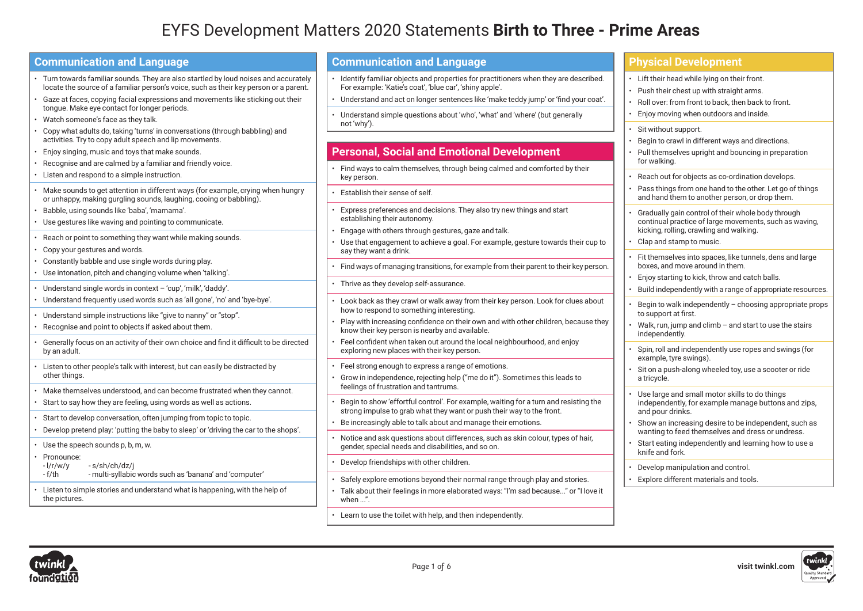# EYFS Development Matters 2020 Statements **Birth to Three - Prime Areas**

| <b>Communication and Language</b>                                                                                                                                                                                                                                                                              | <b>Communication and Language</b>                                                                                                                                                                                                                                                                                    | <b>Physical Development</b>                                                                                                                                                                    |
|----------------------------------------------------------------------------------------------------------------------------------------------------------------------------------------------------------------------------------------------------------------------------------------------------------------|----------------------------------------------------------------------------------------------------------------------------------------------------------------------------------------------------------------------------------------------------------------------------------------------------------------------|------------------------------------------------------------------------------------------------------------------------------------------------------------------------------------------------|
| Turn towards familiar sounds. They are also startled by loud noises and accurately<br>locate the source of a familiar person's voice, such as their key person or a parent.<br>Gaze at faces, copying facial expressions and movements like sticking out their<br>tongue. Make eye contact for longer periods. | Identify familiar objects and properties for practitioners when they are described.<br>For example: 'Katie's coat', 'blue car', 'shiny apple'.<br>• Understand and act on longer sentences like 'make teddy jump' or 'find your coat'.<br>Understand simple questions about 'who', 'what' and 'where' (but generally | • Lift their head while lying on their front.<br>• Push their chest up with straight arms.<br>• Roll over: from front to back, then back to front.<br>• Enjoy moving when outdoors and inside. |
| Watch someone's face as they talk.<br>• Copy what adults do, taking 'turns' in conversations (through babbling) and<br>activities. Try to copy adult speech and lip movements.<br>Enjoy singing, music and toys that make sounds.                                                                              | not 'why').<br><b>Personal, Social and Emotional Development</b>                                                                                                                                                                                                                                                     | Sit without support.<br>Begin to crawl in different ways and directions.<br>• Pull themselves upright and bouncing in preparation                                                              |
| • Recognise and are calmed by a familiar and friendly voice.<br>• Listen and respond to a simple instruction.                                                                                                                                                                                                  | Find ways to calm themselves, through being calmed and comforted by their<br>key person.                                                                                                                                                                                                                             | for walking.<br>Reach out for objects as co-ordination develops.                                                                                                                               |
| Make sounds to get attention in different ways (for example, crying when hungry<br>or unhappy, making gurgling sounds, laughing, cooing or babbling).<br>Babble, using sounds like 'baba', 'mamama'.                                                                                                           | Establish their sense of self.<br>Express preferences and decisions. They also try new things and start                                                                                                                                                                                                              | Pass things from one hand to the other. Let go of things<br>and hand them to another person, or drop them.                                                                                     |
| • Use gestures like waving and pointing to communicate.<br>• Reach or point to something they want while making sounds.                                                                                                                                                                                        | establishing their autonomy.<br>Engage with others through gestures, gaze and talk.<br>Use that engagement to achieve a goal. For example, gesture towards their cup to                                                                                                                                              | Gradually gain control of their whole body through<br>continual practice of large movements, such as waving,<br>kicking, rolling, crawling and walking.<br>• Clap and stamp to music.          |
| Copy your gestures and words.<br>• Constantly babble and use single words during play.<br>· Use intonation, pitch and changing volume when 'talking'.                                                                                                                                                          | say they want a drink.<br>Find ways of managing transitions, for example from their parent to their key person.                                                                                                                                                                                                      | · Fit themselves into spaces, like tunnels, dens and large<br>boxes, and move around in them.<br>Enjoy starting to kick, throw and catch balls.                                                |
| • Understand single words in context - 'cup', 'milk', 'daddy'.<br>· Understand frequently used words such as 'all gone', 'no' and 'bye-bye'.                                                                                                                                                                   | Thrive as they develop self-assurance.                                                                                                                                                                                                                                                                               | Build independently with a range of appropriate resources.                                                                                                                                     |
| • Understand simple instructions like "give to nanny" or "stop".<br>• Recognise and point to objects if asked about them.                                                                                                                                                                                      | Look back as they crawl or walk away from their key person. Look for clues about<br>how to respond to something interesting.<br>Play with increasing confidence on their own and with other children, because they<br>know their key person is nearby and available.                                                 | Begin to walk independently - choosing appropriate props<br>to support at first.<br>• Walk, run, jump and climb - and start to use the stairs<br>independently.                                |
| Generally focus on an activity of their own choice and find it difficult to be directed<br>by an adult.                                                                                                                                                                                                        | Feel confident when taken out around the local neighbourhood, and enjoy<br>exploring new places with their key person.                                                                                                                                                                                               | Spin, roll and independently use ropes and swings (for<br>example, tyre swings).                                                                                                               |
| Listen to other people's talk with interest, but can easily be distracted by<br>other things.                                                                                                                                                                                                                  | Feel strong enough to express a range of emotions.<br>Grow in independence, rejecting help ("me do it"). Sometimes this leads to<br>feelings of frustration and tantrums.                                                                                                                                            | Sit on a push-along wheeled toy, use a scooter or ride<br>a tricycle.                                                                                                                          |
| · Make themselves understood, and can become frustrated when they cannot.<br>• Start to say how they are feeling, using words as well as actions.                                                                                                                                                              | Begin to show 'effortful control'. For example, waiting for a turn and resisting the<br>strong impulse to grab what they want or push their way to the front.                                                                                                                                                        | Use large and small motor skills to do things<br>independently, for example manage buttons and zips,<br>and pour drinks.                                                                       |
| Start to develop conversation, often jumping from topic to topic.<br>Develop pretend play: 'putting the baby to sleep' or 'driving the car to the shops'.                                                                                                                                                      | Be increasingly able to talk about and manage their emotions.                                                                                                                                                                                                                                                        | Show an increasing desire to be independent, such as<br>wanting to feed themselves and dress or undress.                                                                                       |
| • Use the speech sounds p, b, m, w.<br>Pronounce:                                                                                                                                                                                                                                                              | Notice and ask questions about differences, such as skin colour, types of hair,<br>gender, special needs and disabilities, and so on.                                                                                                                                                                                | Start eating independently and learning how to use a<br>knife and fork.                                                                                                                        |
| $-1/r/w/y$<br>-s/sh/ch/dz/i<br>$-f/th$<br>- multi-syllabic words such as 'banana' and 'computer'                                                                                                                                                                                                               | Develop friendships with other children.<br>Safely explore emotions beyond their normal range through play and stories.                                                                                                                                                                                              | Develop manipulation and control.<br>Explore different materials and tools.                                                                                                                    |
| Listen to simple stories and understand what is happening, with the help of<br>the pictures.                                                                                                                                                                                                                   | Talk about their feelings in more elaborated ways: "I'm sad because" or "I love it<br>when $\ldots$ ".                                                                                                                                                                                                               |                                                                                                                                                                                                |
|                                                                                                                                                                                                                                                                                                                |                                                                                                                                                                                                                                                                                                                      |                                                                                                                                                                                                |





• Learn to use the toilet with help, and then independently.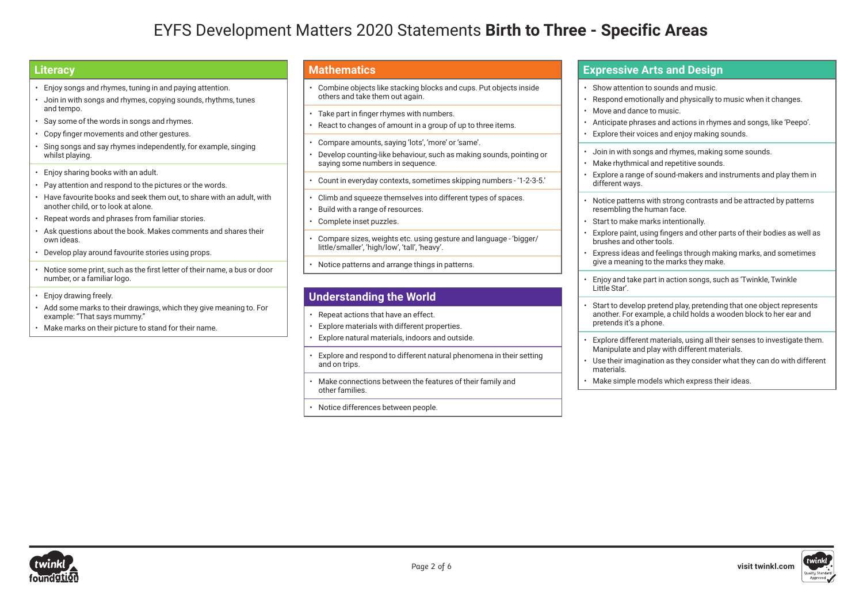# EYFS Development Matters 2020 Statements **Birth to Three - Specific Areas**

### **Literacy**

- Enjoy songs and rhymes, tuning in and paying attention.
- Join in with songs and rhymes, copying sounds, rhythms, tunes and tempo.
- Say some of the words in songs and rhymes.
- Copy finger movements and other gestures.
- Sing songs and say rhymes independently, for example, singing whilst playing.
- Enjoy sharing books with an adult.
- Pay attention and respond to the pictures or the words.
- Have favourite books and seek them out, to share with an adult, with another child, or to look at alone.
- Repeat words and phrases from familiar stories.
- Ask questions about the book. Makes comments and shares their own ideas.
- Develop play around favourite stories using props.
- Notice some print, such as the first letter of their name, a bus or door number, or a familiar logo.
- Enjoy drawing freely.
- Add some marks to their drawings, which they give meaning to. For example: "That says mummy."
- Make marks on their picture to stand for their name.

### **Mathematics**

- Combine objects like stacking blocks and cups. Put objects inside others and take them out again.
- Take part in finger rhymes with numbers.
- React to changes of amount in a group of up to three items.
- Compare amounts, saying 'lots', 'more' or 'same'.
- Develop counting-like behaviour, such as making sounds, pointing or saying some numbers in sequence.
- Count in everyday contexts, sometimes skipping numbers '1-2-3-5.'
- Climb and squeeze themselves into different types of spaces.
- Build with a range of resources.
- Complete inset puzzles.
- Compare sizes, weights etc. using gesture and language 'bigger/ little/smaller', 'high/low', 'tall', 'heavy'.
- Notice patterns and arrange things in patterns.

## **Understanding the World**

- Repeat actions that have an effect.
- Explore materials with different properties.
- Explore natural materials, indoors and outside.
- Explore and respond to different natural phenomena in their setting and on trips.
- Make connections between the features of their family and other families.
- Notice differences between people.

#### **Expressive Arts and Design**

- Show attention to sounds and music.
- Respond emotionally and physically to music when it changes.
- Move and dance to music.
- Anticipate phrases and actions in rhymes and songs, like 'Peepo'.
- Explore their voices and enjoy making sounds.
- Join in with songs and rhymes, making some sounds.
- Make rhythmical and repetitive sounds.
- Explore a range of sound-makers and instruments and play them in different ways.
- Notice patterns with strong contrasts and be attracted by patterns resembling the human face.
- Start to make marks intentionally.
- Explore paint, using fingers and other parts of their bodies as well as brushes and other tools.
- Express ideas and feelings through making marks, and sometimes give a meaning to the marks they make.
- Enjoy and take part in action songs, such as 'Twinkle, Twinkle Little Star'.
- Start to develop pretend play, pretending that one object represents another. For example, a child holds a wooden block to her ear and pretends it's a phone.
- Explore different materials, using all their senses to investigate them. Manipulate and play with different materials.
- Use their imagination as they consider what they can do with different materials.
- Make simple models which express their ideas.

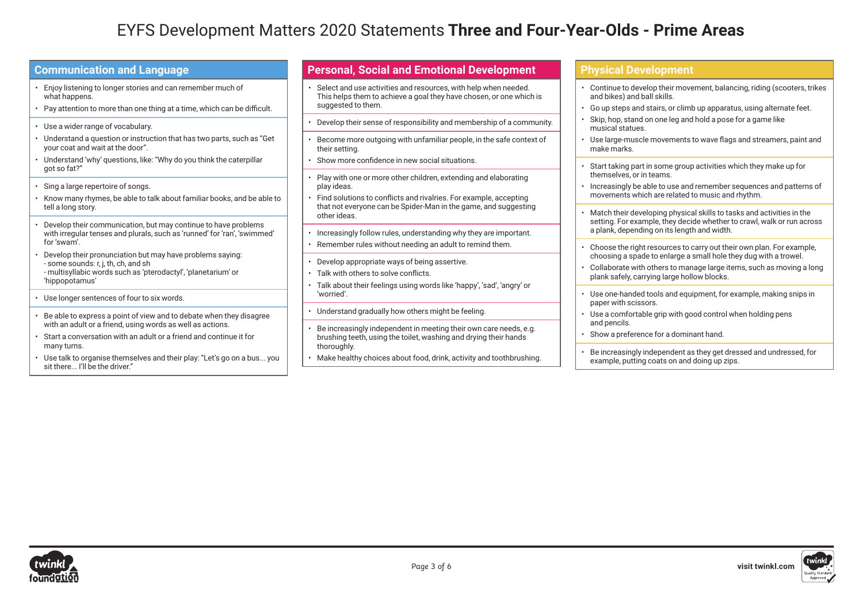# EYFS Development Matters 2020 Statements **Three and Four-Year-Olds - Prime Areas**

| I Communication and Language                                                  |
|-------------------------------------------------------------------------------|
| • Enjoy listening to longer stories and can remember much of<br>what happens. |
| . Pay attention to more than one thing at a time, which can be difficult.     |
|                                                                               |

**Communication and Language**

- Use a wider range of vocabulary.
- Understand a question or instruction that has two parts, such as "Get your coat and wait at the door".
- Understand 'why' questions, like: "Why do you think the caterpillar got so fat?"
- Sing a large repertoire of songs.
- Know many rhymes, be able to talk about familiar books, and be able to tell a long story.
- Develop their communication, but may continue to have problems with irregular tenses and plurals, such as 'runned' for 'ran', 'swimmed' for 'swam'.
- Develop their pronunciation but may have problems saying: - some sounds: r, j, th, ch, and sh - multisyllabic words such as 'pterodactyl', 'planetarium' or 'hippopotamus'
- Use longer sentences of four to six words.
- Be able to express a point of view and to debate when they disagree with an adult or a friend, using words as well as actions.
- Start a conversation with an adult or a friend and continue it for many turns.
- Use talk to organise themselves and their play: "Let's go on a bus... you sit there... I'll be the driver."

### **Personal, Social and Emotional Development**

- Select and use activities and resources, with help when needed. This helps them to achieve a goal they have chosen, or one which is suggested to them.
- Develop their sense of responsibility and membership of a community.
- Become more outgoing with unfamiliar people, in the safe context of their setting.
- Show more confidence in new social situations.
- Play with one or more other children, extending and elaborating play ideas.
- Find solutions to conflicts and rivalries. For example, accepting that not everyone can be Spider-Man in the game, and suggesting other ideas.
- Increasingly follow rules, understanding why they are important.
- Remember rules without needing an adult to remind them.
- Develop appropriate ways of being assertive.
- Talk with others to solve conflicts.
- Talk about their feelings using words like 'happy', 'sad', 'angry' or 'worried'.
- Understand gradually how others might be feeling.
- Be increasingly independent in meeting their own care needs, e.g. brushing teeth, using the toilet, washing and drying their hands thoroughly.
- Make healthy choices about food, drink, activity and toothbrushing.

#### **Physical Development**

- Continue to develop their movement, balancing, riding (scooters, trikes and bikes) and ball skills.
- Go up steps and stairs, or climb up apparatus, using alternate feet.
- Skip, hop, stand on one leg and hold a pose for a game like musical statues.
- Use large-muscle movements to wave flags and streamers, paint and make marks.
- Start taking part in some group activities which they make up for themselves, or in teams.
- Increasingly be able to use and remember sequences and patterns of movements which are related to music and rhythm.
- Match their developing physical skills to tasks and activities in the setting. For example, they decide whether to crawl, walk or run across a plank, depending on its length and width.
- Choose the right resources to carry out their own plan. For example, choosing a spade to enlarge a small hole they dug with a trowel.
- Collaborate with others to manage large items, such as moving a long plank safely, carrying large hollow blocks.
- Use one-handed tools and equipment, for example, making snips in paper with scissors.
- Use a comfortable grip with good control when holding pens and pencils.
- Show a preference for a dominant hand.
- Be increasingly independent as they get dressed and undressed, for example, putting coats on and doing up zips.

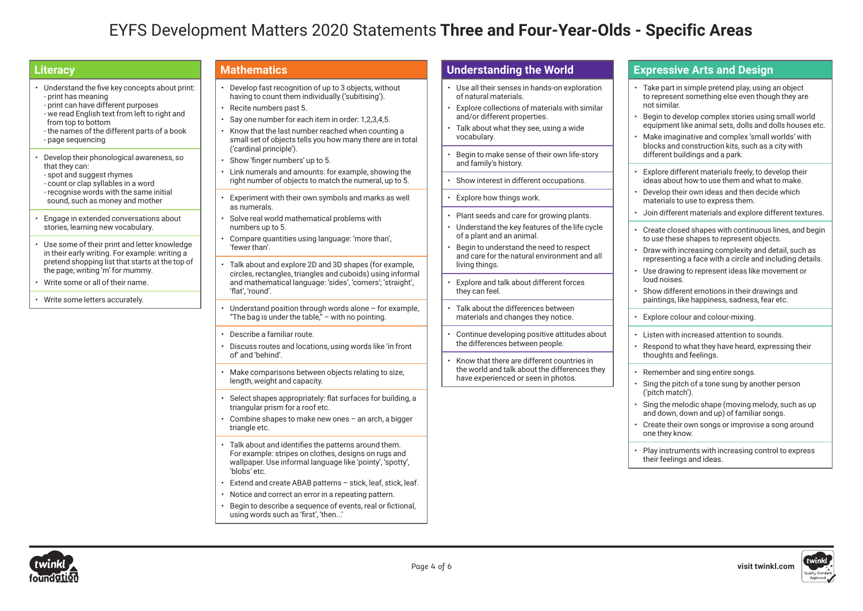# EYFS Development Matters 2020 Statements **Three and Four-Year-Olds - Specific Areas**

### **Literacy**

- Understand the five key concepts about print: - print has meaning - print can have different purposes - we read English text from left to right and from top to bottom - the names of the different parts of a book - page sequencing
- Develop their phonological awareness, so that they can: - spot and suggest rhymes - count or clap syllables in a word - recognise words with the same initial
- sound, such as money and mother
- Engage in extended conversations about stories, learning new vocabulary.
- Use some of their print and letter knowledge in their early writing. For example: writing a pretend shopping list that starts at the top of the page; writing 'm' for mummy.
- Write some or all of their name.
- Write some letters accurately.

#### **Mathematics**

- Develop fast recognition of up to 3 objects, without having to count them individually ('subitising').
- Recite numbers past 5.
- Say one number for each item in order: 1,2,3,4,5.
- Know that the last number reached when counting a small set of objects tells you how many there are in total ('cardinal principle').
- Show 'finger numbers' up to 5.
- Link numerals and amounts: for example, showing the right number of objects to match the numeral, up to 5.
- Experiment with their own symbols and marks as well as numerals.
- Solve real world mathematical problems with numbers up to 5.
- Compare quantities using language: 'more than', 'fewer than'.
- Talk about and explore 2D and 3D shapes (for example, circles, rectangles, triangles and cuboids) using informal and mathematical language: 'sides', 'corners'; 'straight', 'flat', 'round'.
- Understand position through words alone for example, "The bag is under the table," – with no pointing.
- Describe a familiar route.
- Discuss routes and locations, using words like 'in front of' and 'behind'.
- Make comparisons between objects relating to size, length, weight and capacity.
- Select shapes appropriately: flat surfaces for building, a triangular prism for a roof etc.
- Combine shapes to make new ones an arch, a bigger triangle etc.
- Talk about and identifies the patterns around them. For example: stripes on clothes, designs on rugs and wallpaper. Use informal language like 'pointy', 'spotty', 'blobs' etc.
- Extend and create ABAB patterns stick, leaf, stick, leaf.
- Notice and correct an error in a repeating pattern.
- Begin to describe a sequence of events, real or fictional, using words such as 'first', 'then...'

## **Understanding the World**

- Use all their senses in hands-on exploration of natural materials.
- Explore collections of materials with similar and/or different properties.
- Talk about what they see, using a wide vocabulary.
- Begin to make sense of their own life-story and family's history.
- Show interest in different occupations.
- Explore how things work.
- Plant seeds and care for growing plants.
- Understand the key features of the life cycle of a plant and an animal.
- Begin to understand the need to respect and care for the natural environment and all living things.
- Explore and talk about different forces they can feel.
- Talk about the differences between materials and changes they notice.
- Continue developing positive attitudes about the differences between people.
- Know that there are different countries in the world and talk about the differences they have experienced or seen in photos.

#### **Expressive Arts and Design**

- Take part in simple pretend play, using an object to represent something else even though they are not similar.
- Begin to develop complex stories using small world equipment like animal sets, dolls and dolls houses etc.
- Make imaginative and complex 'small worlds' with blocks and construction kits, such as a city with different buildings and a park.
- Explore different materials freely, to develop their ideas about how to use them and what to make.
- Develop their own ideas and then decide which materials to use to express them.
- Join different materials and explore different textures.
- Create closed shapes with continuous lines, and begin to use these shapes to represent objects.
- Draw with increasing complexity and detail, such as representing a face with a circle and including details.
- Use drawing to represent ideas like movement or loud noises.
- Show different emotions in their drawings and paintings, like happiness, sadness, fear etc.
- Explore colour and colour-mixing.
- Listen with increased attention to sounds.
- Respond to what they have heard, expressing their thoughts and feelings.
- Remember and sing entire songs.
- Sing the pitch of a tone sung by another person ('pitch match').
- Sing the melodic shape (moving melody, such as up and down, down and up) of familiar songs.
- Create their own songs or improvise a song around one they know.
- Play instruments with increasing control to express their feelings and ideas.



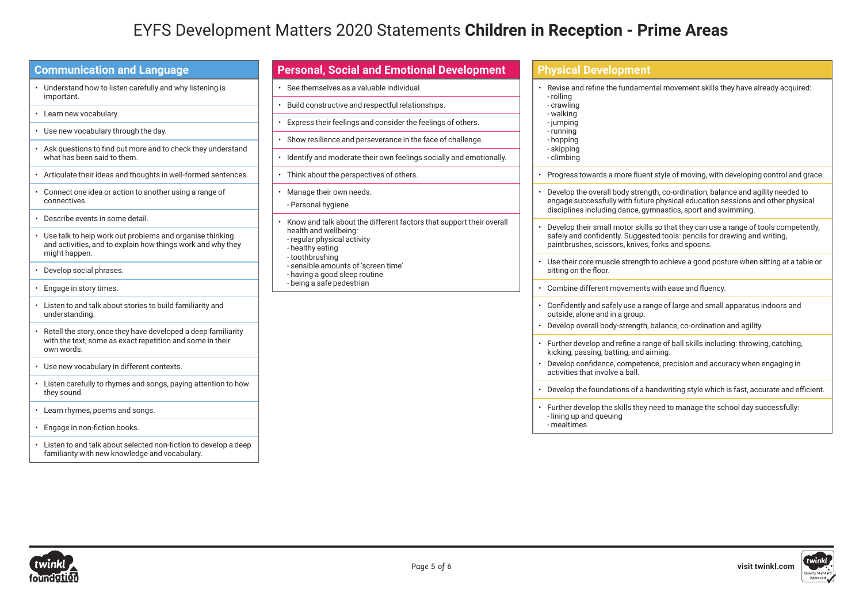# EYFS Development Matters 2020 Statements **Children in Reception - Prime Areas**

| <b>Communication and Language</b>                                                                                                             |
|-----------------------------------------------------------------------------------------------------------------------------------------------|
| Understand how to listen carefully and why listening is<br>important.                                                                         |
| Learn new vocabulary.<br>$\bullet$                                                                                                            |
| • Use new vocabulary through the day.                                                                                                         |
| Ask questions to find out more and to check they understand<br>$\bullet$<br>what has been said to them.                                       |
| Articulate their ideas and thoughts in well-formed sentences.<br>$\bullet$                                                                    |
| Connect one idea or action to another using a range of<br>$\bullet$<br>connectives.                                                           |
| Describe events in some detail.<br>$\bullet$                                                                                                  |
| • Use talk to help work out problems and organise thinking<br>and activities, and to explain how things work and why they<br>might happen.    |
| Develop social phrases.<br>٠                                                                                                                  |
| Engage in story times.<br>٠                                                                                                                   |
| Listen to and talk about stories to build familiarity and<br>understanding.                                                                   |
| Retell the story, once they have developed a deep familiarity<br>٠<br>with the text, some as exact repetition and some in their<br>own words. |
| • Use new vocabulary in different contexts.                                                                                                   |
| Listen carefully to rhymes and songs, paying attention to how<br>٠<br>they sound.                                                             |
| Learn rhymes, poems and songs.<br>٠                                                                                                           |
| Engage in non-fiction books.<br>٠                                                                                                             |
| Listen to and talk about selected non-fiction to develop a deep<br>familiarity with new knowledge and vocabulary.                             |

| Revise and refine the fundamental movement skills they have already acquired:<br>- rolling                                                                        |
|-------------------------------------------------------------------------------------------------------------------------------------------------------------------|
| - crawling                                                                                                                                                        |
| - walking                                                                                                                                                         |
| -jumping                                                                                                                                                          |
| - running                                                                                                                                                         |
| - hopping                                                                                                                                                         |
| - skipping                                                                                                                                                        |
| - climbing                                                                                                                                                        |
| Progress towards a more fluent style of moving, with developing control and grace.                                                                                |
|                                                                                                                                                                   |
| Develop the overall body strength, co-ordination, balance and agility needed to<br>engage successfully with future physical education sessions and other physical |
| disciplines including dance, gymnastics, sport and swimming.                                                                                                      |
|                                                                                                                                                                   |
| Develop their small motor skills so that they can use a range of tools competently,                                                                               |
| safely and confidently. Suggested tools: pencils for drawing and writing.                                                                                         |
| paintbrushes, scissors, knives, forks and spoons.                                                                                                                 |
| • Use their core muscle strength to achieve a good posture when sitting at a table or                                                                             |
| sitting on the floor.                                                                                                                                             |
| Combine different movements with ease and fluency.                                                                                                                |
|                                                                                                                                                                   |
| Confidently and safely use a range of large and small apparatus indoors and                                                                                       |
| outside, alone and in a group.                                                                                                                                    |
| Develop overall body-strength, balance, co-ordination and agility.                                                                                                |
|                                                                                                                                                                   |
| • Further develop and refine a range of ball skills including: throwing, catching,                                                                                |
| kicking, passing, batting, and aiming.                                                                                                                            |
| Develop confidence, competence, precision and accuracy when engaging in                                                                                           |
| activities that involve a ball.                                                                                                                                   |
| Develop the foundations of a handwriting style which is fast, accurate and efficient.                                                                             |
|                                                                                                                                                                   |
| Further develop the skills they need to manage the school day successfully:                                                                                       |
| - lining up and queuing<br>- mealtimes                                                                                                                            |